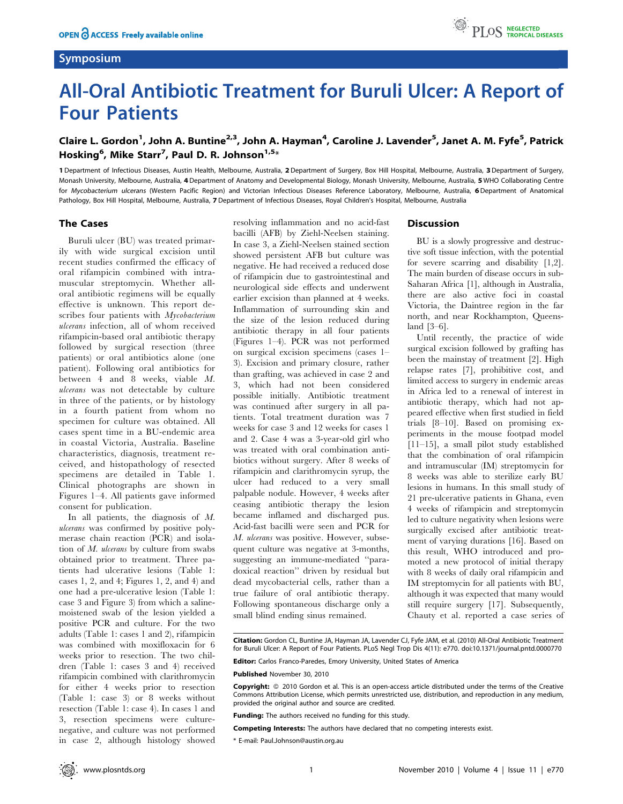## Symposium



# All-Oral Antibiotic Treatment for Buruli Ulcer: A Report of Four Patients

## Claire L. Gordon<sup>1</sup>, John A. Buntine<sup>2,3</sup>, John A. Hayman<sup>4</sup>, Caroline J. Lavender<sup>5</sup>, Janet A. M. Fyfe<sup>5</sup>, Patrick Hosking<sup>6</sup>, Mike Starr<sup>7</sup>, Paul D. R. Johnson<sup>1,5</sup>\*

1 Department of Infectious Diseases, Austin Health, Melbourne, Australia, 2 Department of Surgery, Box Hill Hospital, Melbourne, Australia, 3Department of Surgery, Monash University, Melbourne, Australia, 4 Department of Anatomy and Developmental Biology, Monash University, Melbourne, Australia, 5 WHO Collaborating Centre for Mycobacterium ulcerans (Western Pacific Region) and Victorian Infectious Diseases Reference Laboratory, Melbourne, Australia, 6 Department of Anatomical Pathology, Box Hill Hospital, Melbourne, Australia, 7 Department of Infectious Diseases, Royal Children's Hospital, Melbourne, Australia

## The Cases

Buruli ulcer (BU) was treated primarily with wide surgical excision until recent studies confirmed the efficacy of oral rifampicin combined with intramuscular streptomycin. Whether alloral antibiotic regimens will be equally effective is unknown. This report describes four patients with *Mycobacterium* ulcerans infection, all of whom received rifampicin-based oral antibiotic therapy followed by surgical resection (three patients) or oral antibiotics alone (one patient). Following oral antibiotics for between 4 and 8 weeks, viable M. ulcerans was not detectable by culture in three of the patients, or by histology in a fourth patient from whom no specimen for culture was obtained. All cases spent time in a BU-endemic area in coastal Victoria, Australia. Baseline characteristics, diagnosis, treatment received, and histopathology of resected specimens are detailed in Table 1. Clinical photographs are shown in Figures 1–4. All patients gave informed consent for publication.

In all patients, the diagnosis of M. ulcerans was confirmed by positive polymerase chain reaction (PCR) and isolation of  $M$ . ulcerans by culture from swabs obtained prior to treatment. Three patients had ulcerative lesions (Table 1: cases 1, 2, and 4; Figures 1, 2, and 4) and one had a pre-ulcerative lesion (Table 1: case 3 and Figure 3) from which a salinemoistened swab of the lesion yielded a positive PCR and culture. For the two adults (Table 1: cases 1 and 2), rifampicin was combined with moxifloxacin for 6 weeks prior to resection. The two children (Table 1: cases 3 and 4) received rifampicin combined with clarithromycin for either 4 weeks prior to resection (Table 1: case 3) or 8 weeks without resection (Table 1: case 4). In cases 1 and 3, resection specimens were culturenegative, and culture was not performed in case 2, although histology showed resolving inflammation and no acid-fast bacilli (AFB) by Ziehl-Neelsen staining. In case 3, a Ziehl-Neelsen stained section showed persistent AFB but culture was negative. He had received a reduced dose of rifampicin due to gastrointestinal and neurological side effects and underwent earlier excision than planned at 4 weeks. Inflammation of surrounding skin and the size of the lesion reduced during antibiotic therapy in all four patients (Figures 1–4). PCR was not performed on surgical excision specimens (cases 1– 3). Excision and primary closure, rather than grafting, was achieved in case 2 and 3, which had not been considered possible initially. Antibiotic treatment was continued after surgery in all patients. Total treatment duration was 7 weeks for case 3 and 12 weeks for cases 1 and 2. Case 4 was a 3-year-old girl who was treated with oral combination antibiotics without surgery. After 8 weeks of rifampicin and clarithromycin syrup, the ulcer had reduced to a very small palpable nodule. However, 4 weeks after ceasing antibiotic therapy the lesion became inflamed and discharged pus. Acid-fast bacilli were seen and PCR for M. ulcerans was positive. However, subsequent culture was negative at 3-months, suggesting an immune-mediated ''paradoxical reaction'' driven by residual but dead mycobacterial cells, rather than a true failure of oral antibiotic therapy. Following spontaneous discharge only a small blind ending sinus remained.

#### **Discussion**

BU is a slowly progressive and destructive soft tissue infection, with the potential for severe scarring and disability [1,2]. The main burden of disease occurs in sub-Saharan Africa [1], although in Australia, there are also active foci in coastal Victoria, the Daintree region in the far north, and near Rockhampton, Queensland [3–6].

Until recently, the practice of wide surgical excision followed by grafting has been the mainstay of treatment [2]. High relapse rates [7], prohibitive cost, and limited access to surgery in endemic areas in Africa led to a renewal of interest in antibiotic therapy, which had not appeared effective when first studied in field trials [8–10]. Based on promising experiments in the mouse footpad model [11–15], a small pilot study established that the combination of oral rifampicin and intramuscular (IM) streptomycin for 8 weeks was able to sterilize early BU lesions in humans. In this small study of 21 pre-ulcerative patients in Ghana, even 4 weeks of rifampicin and streptomycin led to culture negativity when lesions were surgically excised after antibiotic treatment of varying durations [16]. Based on this result, WHO introduced and promoted a new protocol of initial therapy with 8 weeks of daily oral rifampicin and IM streptomycin for all patients with BU, although it was expected that many would still require surgery [17]. Subsequently, Chauty et al. reported a case series of

Citation: Gordon CL, Buntine JA, Hayman JA, Lavender CJ, Fyfe JAM, et al. (2010) All-Oral Antibiotic Treatment for Buruli Ulcer: A Report of Four Patients. PLoS Negl Trop Dis 4(11): e770. doi:10.1371/journal.pntd.0000770

Editor: Carlos Franco-Paredes, Emory University, United States of America

Published November 30, 2010

Copyright: © 2010 Gordon et al. This is an open-access article distributed under the terms of the Creative Commons Attribution License, which permits unrestricted use, distribution, and reproduction in any medium, provided the original author and source are credited.

Funding: The authors received no funding for this study.

Competing Interests: The authors have declared that no competing interests exist.

\* E-mail: Paul.Johnson@austin.org.au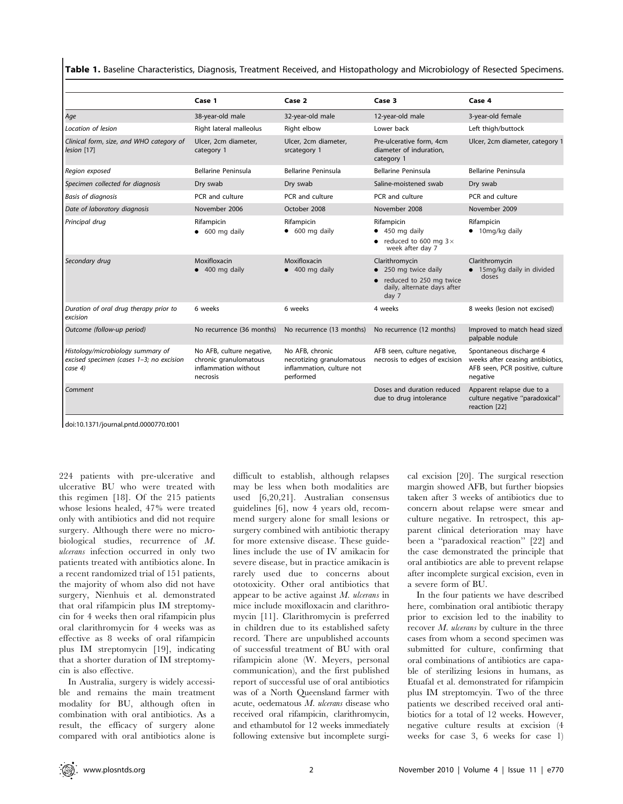Table 1. Baseline Characteristics, Diagnosis, Treatment Received, and Histopathology and Microbiology of Resected Specimens.

|                                                                                          | Case 1                                                                                 | Case 2                                                                                 | Case 3                                                                                                  | Case 4                                                                                                     |
|------------------------------------------------------------------------------------------|----------------------------------------------------------------------------------------|----------------------------------------------------------------------------------------|---------------------------------------------------------------------------------------------------------|------------------------------------------------------------------------------------------------------------|
| Age                                                                                      | 38-year-old male                                                                       | 32-year-old male                                                                       | 12-year-old male                                                                                        | 3-year-old female                                                                                          |
| Location of lesion                                                                       | Right lateral malleolus                                                                | Right elbow                                                                            | Lower back                                                                                              | Left thigh/buttock                                                                                         |
| Clinical form, size, and WHO category of<br>lesion [17]                                  | Ulcer, 2cm diameter,<br>category 1                                                     | Ulcer, 2cm diameter,<br>srcategory 1                                                   | Pre-ulcerative form, 4cm<br>diameter of induration.<br>category 1                                       | Ulcer, 2cm diameter, category 1                                                                            |
| Region exposed                                                                           | Bellarine Peninsula                                                                    | Bellarine Peninsula                                                                    | <b>Bellarine Peninsula</b>                                                                              | <b>Bellarine Peninsula</b>                                                                                 |
| Specimen collected for diagnosis                                                         | Dry swab                                                                               | Dry swab                                                                               | Saline-moistened swab                                                                                   | Dry swab                                                                                                   |
| <b>Basis of diagnosis</b>                                                                | PCR and culture                                                                        | PCR and culture                                                                        | PCR and culture                                                                                         | PCR and culture                                                                                            |
| Date of laboratory diagnosis                                                             | November 2006                                                                          | October 2008                                                                           | November 2008                                                                                           | November 2009                                                                                              |
| Principal drug                                                                           | Rifampicin<br>$\bullet$ 600 mg daily                                                   | Rifampicin<br>$\bullet$ 600 mg daily                                                   | Rifampicin<br>$\bullet$ 450 mg daily<br>reduced to 600 mg $3 \times$<br>week after day 7                | Rifampicin<br>$\bullet$ 10mg/kg daily                                                                      |
| Secondary drug                                                                           | Moxifloxacin<br>$\bullet$ 400 mg daily                                                 | Moxifloxacin<br>400 mg daily                                                           | Clarithromycin<br>250 mg twice daily<br>reduced to 250 mg twice<br>daily, alternate days after<br>day 7 | Clarithromycin<br>• 15mg/kg daily in divided<br>doses                                                      |
| Duration of oral drug therapy prior to<br>excision                                       | 6 weeks                                                                                | 6 weeks                                                                                | 4 weeks                                                                                                 | 8 weeks (lesion not excised)                                                                               |
| Outcome (follow-up period)                                                               | No recurrence (36 months)                                                              | No recurrence (13 months)                                                              | No recurrence (12 months)                                                                               | Improved to match head sized<br>palpable nodule                                                            |
| Histology/microbiology summary of<br>excised specimen (cases 1-3; no excision<br>case 4) | No AFB, culture negative,<br>chronic granulomatous<br>inflammation without<br>necrosis | No AFB, chronic<br>necrotizing granulomatous<br>inflammation, culture not<br>performed | AFB seen, culture negative,<br>necrosis to edges of excision                                            | Spontaneous discharge 4<br>weeks after ceasing antibiotics,<br>AFB seen, PCR positive, culture<br>negative |
| Comment                                                                                  |                                                                                        |                                                                                        | Doses and duration reduced<br>due to drug intolerance                                                   | Apparent relapse due to a<br>culture negative "paradoxical"<br>reaction [22]                               |

doi:10.1371/journal.pntd.0000770.t001

224 patients with pre-ulcerative and ulcerative BU who were treated with this regimen [18]. Of the 215 patients whose lesions healed, 47% were treated only with antibiotics and did not require surgery. Although there were no microbiological studies, recurrence of M. ulcerans infection occurred in only two patients treated with antibiotics alone. In a recent randomized trial of 151 patients, the majority of whom also did not have surgery, Nienhuis et al. demonstrated that oral rifampicin plus IM streptomycin for 4 weeks then oral rifampicin plus oral clarithromycin for 4 weeks was as effective as 8 weeks of oral rifampicin plus IM streptomycin [19], indicating that a shorter duration of IM streptomycin is also effective.

In Australia, surgery is widely accessible and remains the main treatment modality for BU, although often in combination with oral antibiotics. As a result, the efficacy of surgery alone compared with oral antibiotics alone is difficult to establish, although relapses may be less when both modalities are used [6,20,21]. Australian consensus guidelines [6], now 4 years old, recommend surgery alone for small lesions or surgery combined with antibiotic therapy for more extensive disease. These guidelines include the use of IV amikacin for severe disease, but in practice amikacin is rarely used due to concerns about ototoxicity. Other oral antibiotics that appear to be active against M. ulcerans in mice include moxifloxacin and clarithromycin [11]. Clarithromycin is preferred in children due to its established safety record. There are unpublished accounts of successful treatment of BU with oral rifampicin alone (W. Meyers, personal communication), and the first published report of successful use of oral antibiotics was of a North Queensland farmer with acute, oedematous  $M$ . ulcerans disease who received oral rifampicin, clarithromycin, and ethambutol for 12 weeks immediately following extensive but incomplete surgical excision [20]. The surgical resection margin showed AFB, but further biopsies taken after 3 weeks of antibiotics due to concern about relapse were smear and culture negative. In retrospect, this apparent clinical deterioration may have been a ''paradoxical reaction'' [22] and the case demonstrated the principle that oral antibiotics are able to prevent relapse after incomplete surgical excision, even in a severe form of BU.

In the four patients we have described here, combination oral antibiotic therapy prior to excision led to the inability to recover M. ulcerans by culture in the three cases from whom a second specimen was submitted for culture, confirming that oral combinations of antibiotics are capable of sterilizing lesions in humans, as Etuafal et al. demonstrated for rifampicin plus IM streptomcyin. Two of the three patients we described received oral antibiotics for a total of 12 weeks. However, negative culture results at excision (4 weeks for case 3, 6 weeks for case 1)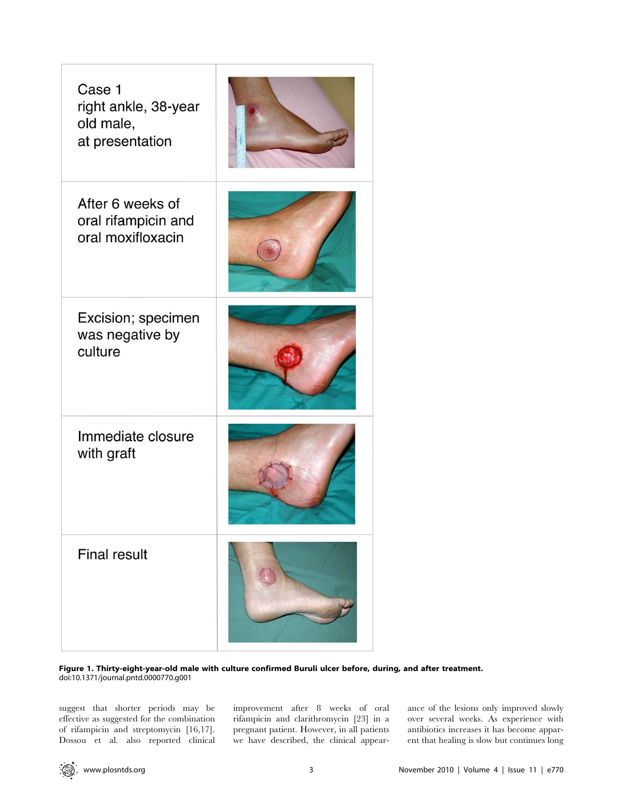| Case 1<br>right ankle, 38-year<br>old male,<br>at presentation |  |
|----------------------------------------------------------------|--|
| After 6 weeks of<br>oral rifampicin and<br>oral moxifloxacin   |  |
| Excision; specimen<br>was negative by<br>culture               |  |
| Immediate closure<br>with graft                                |  |
| <b>Final result</b>                                            |  |

Figure 1. Thirty-eight-year-old male with culture confirmed Buruli ulcer before, during, and after treatment. doi:10.1371/journal.pntd.0000770.g001

suggest that shorter periods may be effective as suggested for the combination of rifampicin and streptomycin [16,17]. Dossou et al. also reported clinical improvement after 8 weeks of oral rifampicin and clarithromycin [23] in a pregnant patient. However, in all patients we have described, the clinical appearance of the lesions only improved slowly over several weeks. As experience with antibiotics increases it has become apparent that healing is slow but continues long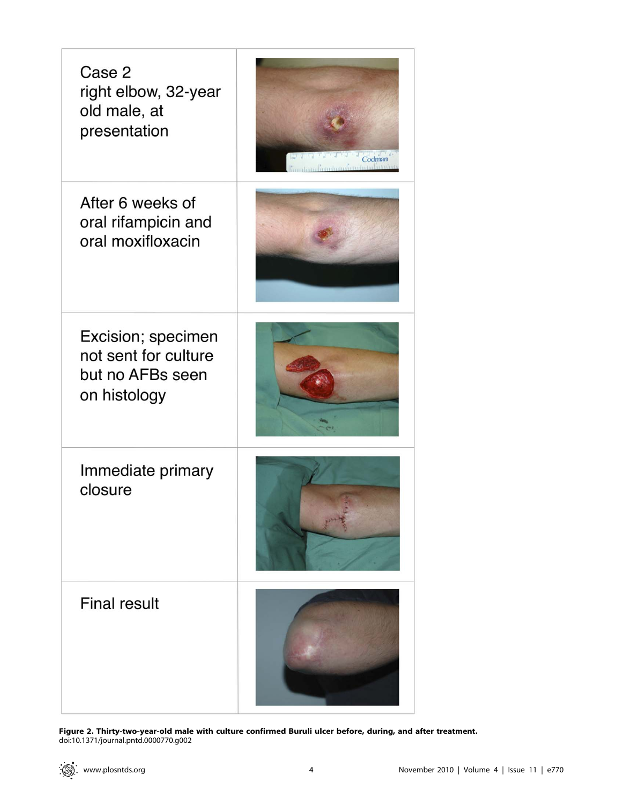| Case 2<br>right elbow, 32-year<br>old male, at<br>presentation                 | Codman<br>udamalingulomalinguladadinta |
|--------------------------------------------------------------------------------|----------------------------------------|
| After 6 weeks of<br>oral rifampicin and<br>oral moxifloxacin                   |                                        |
| Excision; specimen<br>not sent for culture<br>but no AFBs seen<br>on histology |                                        |
| Immediate primary<br>closure                                                   |                                        |
| <b>Final result</b>                                                            |                                        |

Figure 2. Thirty-two-year-old male with culture confirmed Buruli ulcer before, during, and after treatment. doi:10.1371/journal.pntd.0000770.g002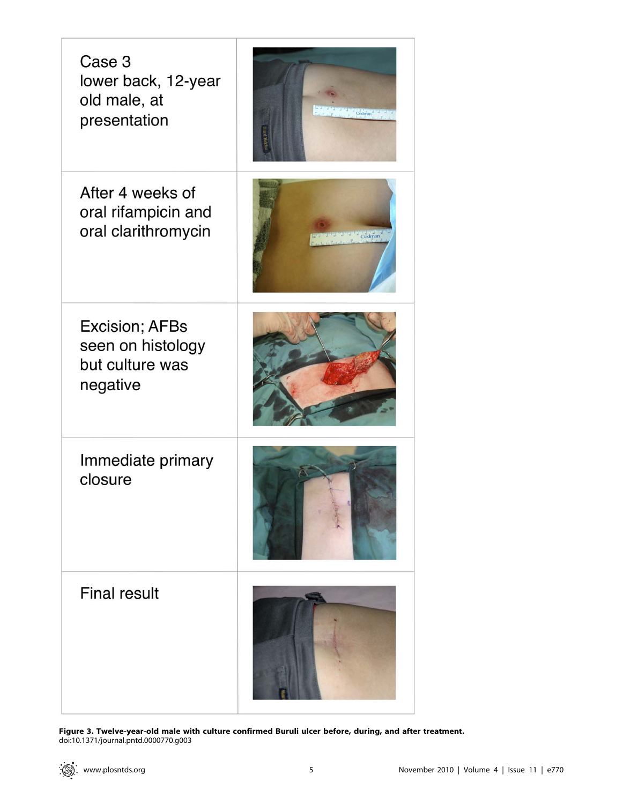| Case 3<br>lower back, 12-year<br>old male, at<br>presentation      | Codman |
|--------------------------------------------------------------------|--------|
| After 4 weeks of<br>oral rifampicin and<br>oral clarithromycin     | Codman |
| Excision; AFBs<br>seen on histology<br>but culture was<br>negative |        |
| Immediate primary<br>closure                                       |        |
| <b>Final result</b>                                                |        |

Figure 3. Twelve-year-old male with culture confirmed Buruli ulcer before, during, and after treatment. doi:10.1371/journal.pntd.0000770.g003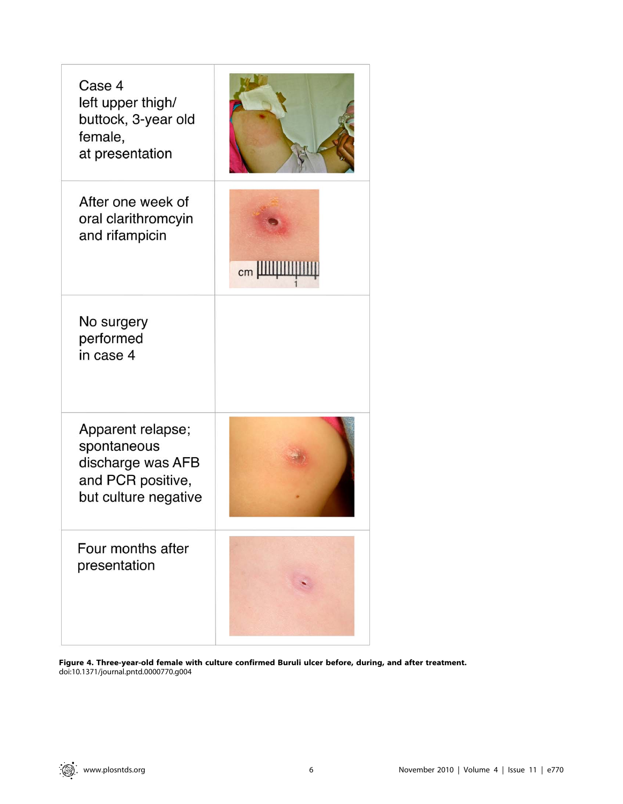| Case 4<br>left upper thigh/<br>buttock, 3-year old<br>female,<br>at presentation                   |    |
|----------------------------------------------------------------------------------------------------|----|
| After one week of<br>oral clarithromcyin<br>and rifampicin                                         | cm |
| No surgery<br>performed<br>in case 4                                                               |    |
| Apparent relapse;<br>spontaneous<br>discharge was AFB<br>and PCR positive,<br>but culture negative |    |
| Four months after<br>presentation                                                                  |    |

Figure 4. Three-year-old female with culture confirmed Buruli ulcer before, during, and after treatment. doi:10.1371/journal.pntd.0000770.g004